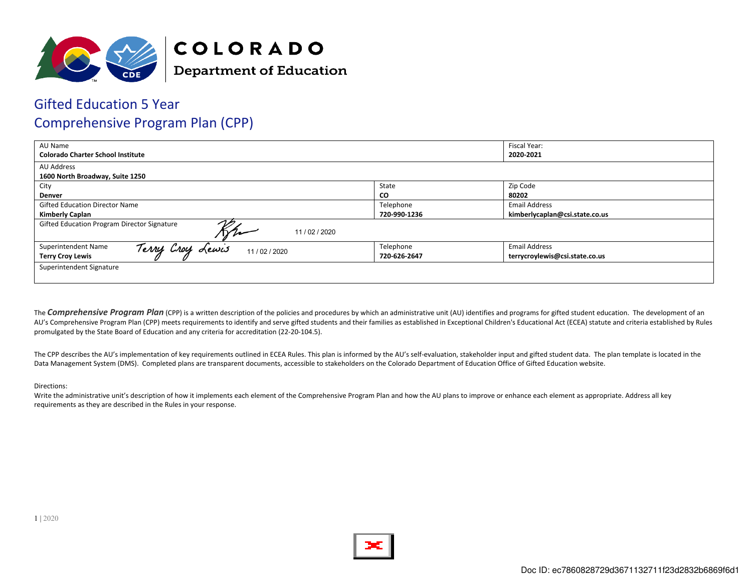

### Gifted Education 5 Year Comprehensive Program Plan (CPP)

| AU Name                                                   |              | Fiscal Year:                   |  |
|-----------------------------------------------------------|--------------|--------------------------------|--|
| <b>Colorado Charter School Institute</b>                  |              | 2020-2021                      |  |
| <b>AU Address</b>                                         |              |                                |  |
| 1600 North Broadway, Suite 1250                           |              |                                |  |
| City                                                      | State        | Zip Code                       |  |
| <b>Denver</b>                                             | CO           | 80202                          |  |
| <b>Gifted Education Director Name</b>                     | Telephone    | <b>Email Address</b>           |  |
| <b>Kimberly Caplan</b>                                    | 720-990-1236 | kimberlycaplan@csi.state.co.us |  |
| Gifted Education Program Director Signature<br>11/02/2020 |              |                                |  |
| Lewis<br>Superintendent Name<br>Terry Croy<br>11/02/2020  | Telephone    | <b>Email Address</b>           |  |
| <b>Terry Croy Lewis</b>                                   | 720-626-2647 | terrycroylewis@csi.state.co.us |  |
| Superintendent Signature                                  |              |                                |  |

The **Comprehensive Program Plan** (CPP) is a written description of the policies and procedures by which an administrative unit (AU) identifies and programs for gifted student education. The development of an AU's Comprehensive Program Plan (CPP) meets requirements to identify and serve gifted students and their families as established in Exceptional Children's Educational Act (ECEA) statute and criteria established by Rules promulgated by the State Board of Education and any criteria for accreditation (22-20-104.5).

The CPP describes the AU's implementation of key requirements outlined in ECEA Rules. This plan is informed by the AU's self-evaluation, stakeholder input and gifted student data. The plan template is located in the Data Management System (DMS). Completed plans are transparent documents, accessible to stakeholders on the Colorado Department of Education Office of Gifted Education website.

#### Directions:

Write the administrative unit's description of how it implements each element of the Comprehensive Program Plan and how the AU plans to improve or enhance each element as appropriate. Address all key requirements as they are described in the Rules in your response.

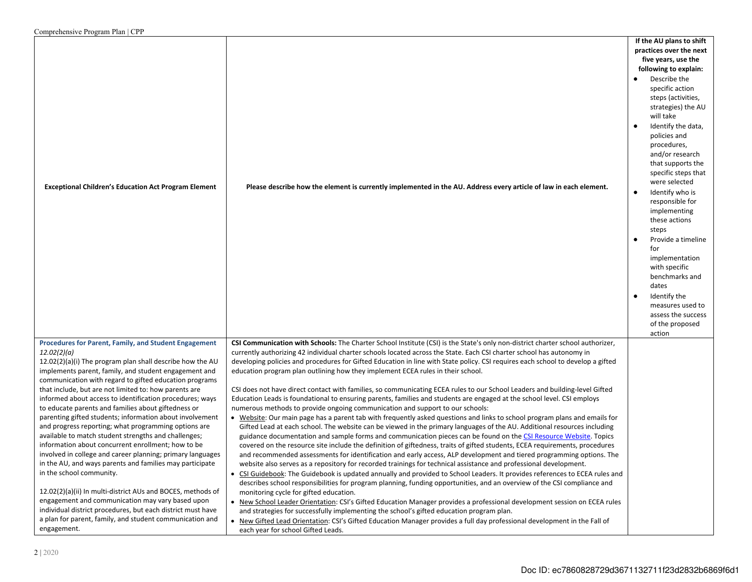| $\sim$ . The complete that $\sim$ 1 to $\approx$ 1 to $\sim$ 1 to $\sim$ 1 to $\sim$ 1 to $\sim$ 1 to $\sim$ 1 to $\sim$ |                                                                                                                                 |                                                                                                                                                                                                                                                                                                                                                                                                                                                                                                                                                                                                                     |
|--------------------------------------------------------------------------------------------------------------------------|---------------------------------------------------------------------------------------------------------------------------------|---------------------------------------------------------------------------------------------------------------------------------------------------------------------------------------------------------------------------------------------------------------------------------------------------------------------------------------------------------------------------------------------------------------------------------------------------------------------------------------------------------------------------------------------------------------------------------------------------------------------|
| <b>Exceptional Children's Education Act Program Element</b>                                                              | Please describe how the element is currently implemented in the AU. Address every article of law in each element.               | If the AU plans to shift<br>practices over the next<br>five years, use the<br>following to explain:<br>Describe the<br>specific action<br>steps (activities,<br>strategies) the AU<br>will take<br>Identify the data,<br>policies and<br>procedures,<br>and/or research<br>that supports the<br>specific steps that<br>were selected<br>Identify who is<br>$\bullet$<br>responsible for<br>implementing<br>these actions<br>steps<br>Provide a timeline<br>for<br>implementation<br>with specific<br>benchmarks and<br>dates<br>Identify the<br>measures used to<br>assess the success<br>of the proposed<br>action |
| Procedures for Parent, Family, and Student Engagement                                                                    | CSI Communication with Schools: The Charter School Institute (CSI) is the State's only non-district charter school authorizer,  |                                                                                                                                                                                                                                                                                                                                                                                                                                                                                                                                                                                                                     |
| 12.02(2)(a)                                                                                                              | currently authorizing 42 individual charter schools located across the State. Each CSI charter school has autonomy in           |                                                                                                                                                                                                                                                                                                                                                                                                                                                                                                                                                                                                                     |
| 12.02(2)(a)(i) The program plan shall describe how the AU                                                                | developing policies and procedures for Gifted Education in line with State policy. CSI requires each school to develop a gifted |                                                                                                                                                                                                                                                                                                                                                                                                                                                                                                                                                                                                                     |
|                                                                                                                          |                                                                                                                                 |                                                                                                                                                                                                                                                                                                                                                                                                                                                                                                                                                                                                                     |
| implements parent, family, and student engagement and                                                                    | education program plan outlining how they implement ECEA rules in their school.                                                 |                                                                                                                                                                                                                                                                                                                                                                                                                                                                                                                                                                                                                     |
| communication with regard to gifted education programs                                                                   |                                                                                                                                 |                                                                                                                                                                                                                                                                                                                                                                                                                                                                                                                                                                                                                     |
| that include, but are not limited to: how parents are                                                                    | CSI does not have direct contact with families, so communicating ECEA rules to our School Leaders and building-level Gifted     |                                                                                                                                                                                                                                                                                                                                                                                                                                                                                                                                                                                                                     |
| informed about access to identification procedures; ways                                                                 | Education Leads is foundational to ensuring parents, families and students are engaged at the school level. CSI employs         |                                                                                                                                                                                                                                                                                                                                                                                                                                                                                                                                                                                                                     |
| to educate parents and families about giftedness or                                                                      | numerous methods to provide ongoing communication and support to our schools:                                                   |                                                                                                                                                                                                                                                                                                                                                                                                                                                                                                                                                                                                                     |
| parenting gifted students; information about involvement                                                                 | • Website: Our main page has a parent tab with frequently asked questions and links to school program plans and emails for      |                                                                                                                                                                                                                                                                                                                                                                                                                                                                                                                                                                                                                     |
| and progress reporting; what programming options are                                                                     | Gifted Lead at each school. The website can be viewed in the primary languages of the AU. Additional resources including        |                                                                                                                                                                                                                                                                                                                                                                                                                                                                                                                                                                                                                     |
| available to match student strengths and challenges;                                                                     | guidance documentation and sample forms and communication pieces can be found on the CSI Resource Website. Topics               |                                                                                                                                                                                                                                                                                                                                                                                                                                                                                                                                                                                                                     |
| information about concurrent enrollment; how to be                                                                       | covered on the resource site include the definition of giftedness, traits of gifted students, ECEA requirements, procedures     |                                                                                                                                                                                                                                                                                                                                                                                                                                                                                                                                                                                                                     |
| involved in college and career planning; primary languages                                                               | and recommended assessments for identification and early access, ALP development and tiered programming options. The            |                                                                                                                                                                                                                                                                                                                                                                                                                                                                                                                                                                                                                     |
| in the AU, and ways parents and families may participate                                                                 | website also serves as a repository for recorded trainings for technical assistance and professional development.               |                                                                                                                                                                                                                                                                                                                                                                                                                                                                                                                                                                                                                     |
| in the school community.                                                                                                 | • CSI Guidebook: The Guidebook is updated annually and provided to School Leaders. It provides references to ECEA rules and     |                                                                                                                                                                                                                                                                                                                                                                                                                                                                                                                                                                                                                     |
|                                                                                                                          | describes school responsibilities for program planning, funding opportunities, and an overview of the CSI compliance and        |                                                                                                                                                                                                                                                                                                                                                                                                                                                                                                                                                                                                                     |
| 12.02(2)(a)(ii) In multi-district AUs and BOCES, methods of                                                              | monitoring cycle for gifted education.                                                                                          |                                                                                                                                                                                                                                                                                                                                                                                                                                                                                                                                                                                                                     |
| engagement and communication may vary based upon                                                                         | . New School Leader Orientation: CSI's Gifted Education Manager provides a professional development session on ECEA rules       |                                                                                                                                                                                                                                                                                                                                                                                                                                                                                                                                                                                                                     |
| individual district procedures, but each district must have                                                              | and strategies for successfully implementing the school's gifted education program plan.                                        |                                                                                                                                                                                                                                                                                                                                                                                                                                                                                                                                                                                                                     |
| a plan for parent, family, and student communication and                                                                 | • New Gifted Lead Orientation: CSI's Gifted Education Manager provides a full day professional development in the Fall of       |                                                                                                                                                                                                                                                                                                                                                                                                                                                                                                                                                                                                                     |
| engagement.                                                                                                              | each year for school Gifted Leads.                                                                                              |                                                                                                                                                                                                                                                                                                                                                                                                                                                                                                                                                                                                                     |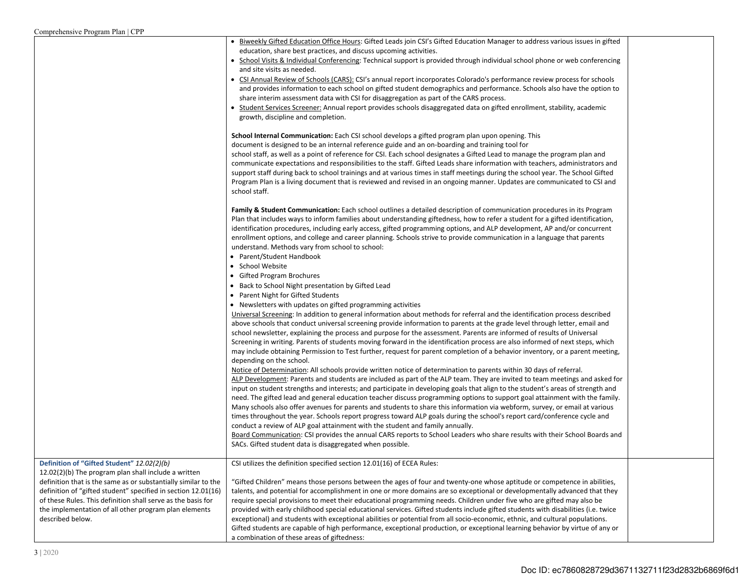| $\mathcal{L}$ omprenensive i rogram i iail $\mathcal{L}$ i i              |                                                                                                                                                                                                                                                                   |  |
|---------------------------------------------------------------------------|-------------------------------------------------------------------------------------------------------------------------------------------------------------------------------------------------------------------------------------------------------------------|--|
|                                                                           | • Biweekly Gifted Education Office Hours: Gifted Leads join CSI's Gifted Education Manager to address various issues in gifted<br>education, share best practices, and discuss upcoming activities.                                                               |  |
|                                                                           | • School Visits & Individual Conferencing: Technical support is provided through individual school phone or web conferencing                                                                                                                                      |  |
|                                                                           | and site visits as needed.                                                                                                                                                                                                                                        |  |
|                                                                           | • CSI Annual Review of Schools (CARS): CSI's annual report incorporates Colorado's performance review process for schools                                                                                                                                         |  |
|                                                                           | and provides information to each school on gifted student demographics and performance. Schools also have the option to                                                                                                                                           |  |
|                                                                           | share interim assessment data with CSI for disaggregation as part of the CARS process.<br>• Student Services Screener: Annual report provides schools disaggregated data on gifted enrollment, stability, academic                                                |  |
|                                                                           | growth, discipline and completion.                                                                                                                                                                                                                                |  |
|                                                                           |                                                                                                                                                                                                                                                                   |  |
|                                                                           | School Internal Communication: Each CSI school develops a gifted program plan upon opening. This<br>document is designed to be an internal reference guide and an on-boarding and training tool for                                                               |  |
|                                                                           | school staff, as well as a point of reference for CSI. Each school designates a Gifted Lead to manage the program plan and                                                                                                                                        |  |
|                                                                           | communicate expectations and responsibilities to the staff. Gifted Leads share information with teachers, administrators and                                                                                                                                      |  |
|                                                                           | support staff during back to school trainings and at various times in staff meetings during the school year. The School Gifted                                                                                                                                    |  |
|                                                                           | Program Plan is a living document that is reviewed and revised in an ongoing manner. Updates are communicated to CSI and                                                                                                                                          |  |
|                                                                           | school staff.                                                                                                                                                                                                                                                     |  |
|                                                                           | Family & Student Communication: Each school outlines a detailed description of communication procedures in its Program                                                                                                                                            |  |
|                                                                           | Plan that includes ways to inform families about understanding giftedness, how to refer a student for a gifted identification,                                                                                                                                    |  |
|                                                                           | identification procedures, including early access, gifted programming options, and ALP development, AP and/or concurrent                                                                                                                                          |  |
|                                                                           | enrollment options, and college and career planning. Schools strive to provide communication in a language that parents                                                                                                                                           |  |
|                                                                           | understand. Methods vary from school to school:                                                                                                                                                                                                                   |  |
|                                                                           | • Parent/Student Handbook                                                                                                                                                                                                                                         |  |
|                                                                           | • School Website                                                                                                                                                                                                                                                  |  |
|                                                                           | • Gifted Program Brochures                                                                                                                                                                                                                                        |  |
|                                                                           | • Back to School Night presentation by Gifted Lead                                                                                                                                                                                                                |  |
|                                                                           | • Parent Night for Gifted Students                                                                                                                                                                                                                                |  |
|                                                                           | • Newsletters with updates on gifted programming activities                                                                                                                                                                                                       |  |
|                                                                           | Universal Screening: In addition to general information about methods for referral and the identification process described                                                                                                                                       |  |
|                                                                           | above schools that conduct universal screening provide information to parents at the grade level through letter, email and<br>school newsletter, explaining the process and purpose for the assessment. Parents are informed of results of Universal              |  |
|                                                                           | Screening in writing. Parents of students moving forward in the identification process are also informed of next steps, which                                                                                                                                     |  |
|                                                                           | may include obtaining Permission to Test further, request for parent completion of a behavior inventory, or a parent meeting,                                                                                                                                     |  |
|                                                                           | depending on the school.                                                                                                                                                                                                                                          |  |
|                                                                           | Notice of Determination: All schools provide written notice of determination to parents within 30 days of referral.                                                                                                                                               |  |
|                                                                           | ALP Development: Parents and students are included as part of the ALP team. They are invited to team meetings and asked for                                                                                                                                       |  |
|                                                                           | input on student strengths and interests; and participate in developing goals that align to the student's areas of strength and                                                                                                                                   |  |
|                                                                           | need. The gifted lead and general education teacher discuss programming options to support goal attainment with the family.                                                                                                                                       |  |
|                                                                           | Many schools also offer avenues for parents and students to share this information via webform, survey, or email at various                                                                                                                                       |  |
|                                                                           | times throughout the year. Schools report progress toward ALP goals during the school's report card/conference cycle and                                                                                                                                          |  |
|                                                                           | conduct a review of ALP goal attainment with the student and family annually.                                                                                                                                                                                     |  |
|                                                                           | Board Communication: CSI provides the annual CARS reports to School Leaders who share results with their School Boards and<br>SACs. Gifted student data is disaggregated when possible.                                                                           |  |
|                                                                           |                                                                                                                                                                                                                                                                   |  |
| Definition of "Gifted Student" 12.02(2)(b)                                | CSI utilizes the definition specified section 12.01(16) of ECEA Rules:                                                                                                                                                                                            |  |
| 12.02(2)(b) The program plan shall include a written                      |                                                                                                                                                                                                                                                                   |  |
| definition that is the same as or substantially similar to the            | "Gifted Children" means those persons between the ages of four and twenty-one whose aptitude or competence in abilities,                                                                                                                                          |  |
| definition of "gifted student" specified in section 12.01(16)             | talents, and potential for accomplishment in one or more domains are so exceptional or developmentally advanced that they                                                                                                                                         |  |
| of these Rules. This definition shall serve as the basis for              | require special provisions to meet their educational programming needs. Children under five who are gifted may also be                                                                                                                                            |  |
| the implementation of all other program plan elements<br>described below. | provided with early childhood special educational services. Gifted students include gifted students with disabilities (i.e. twice<br>exceptional) and students with exceptional abilities or potential from all socio-economic, ethnic, and cultural populations. |  |
|                                                                           | Gifted students are capable of high performance, exceptional production, or exceptional learning behavior by virtue of any or                                                                                                                                     |  |
|                                                                           | a combination of these areas of giftedness:                                                                                                                                                                                                                       |  |
|                                                                           |                                                                                                                                                                                                                                                                   |  |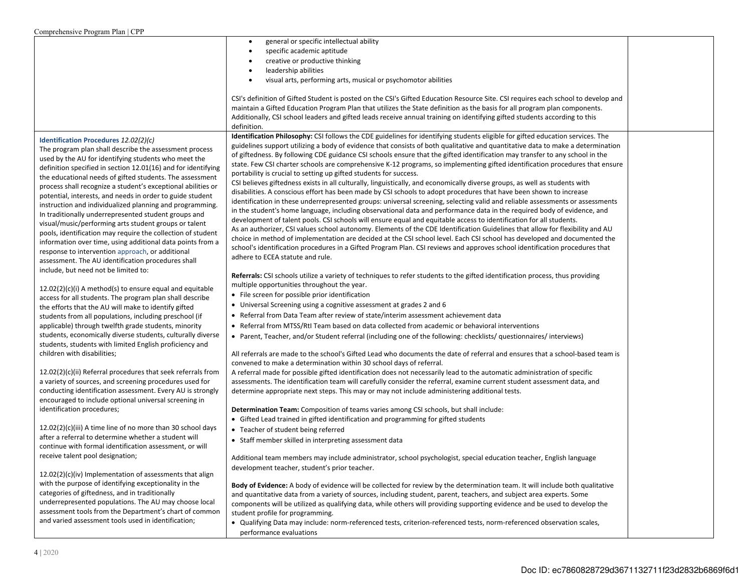| $\sim$ 0.111 profitents rve 1 rogram 1 ran $\sim$ 1 r          |                                                                                                                                   |  |
|----------------------------------------------------------------|-----------------------------------------------------------------------------------------------------------------------------------|--|
|                                                                | general or specific intellectual ability                                                                                          |  |
|                                                                | specific academic aptitude                                                                                                        |  |
|                                                                | creative or productive thinking                                                                                                   |  |
|                                                                | leadership abilities                                                                                                              |  |
|                                                                | visual arts, performing arts, musical or psychomotor abilities                                                                    |  |
|                                                                |                                                                                                                                   |  |
|                                                                | CSI's definition of Gifted Student is posted on the CSI's Gifted Education Resource Site. CSI requires each school to develop and |  |
|                                                                | maintain a Gifted Education Program Plan that utilizes the State definition as the basis for all program plan components.         |  |
|                                                                | Additionally, CSI school leaders and gifted leads receive annual training on identifying gifted students according to this        |  |
|                                                                | definition.                                                                                                                       |  |
|                                                                | Identification Philosophy: CSI follows the CDE guidelines for identifying students eligible for gifted education services. The    |  |
| Identification Procedures 12.02(2)(c)                          | guidelines support utilizing a body of evidence that consists of both qualitative and quantitative data to make a determination   |  |
| The program plan shall describe the assessment process         | of giftedness. By following CDE guidance CSI schools ensure that the gifted identification may transfer to any school in the      |  |
| used by the AU for identifying students who meet the           | state. Few CSI charter schools are comprehensive K-12 programs, so implementing gifted identification procedures that ensure      |  |
| definition specified in section 12.01(16) and for identifying  | portability is crucial to setting up gifted students for success.                                                                 |  |
| the educational needs of gifted students. The assessment       | CSI believes giftedness exists in all culturally, linguistically, and economically diverse groups, as well as students with       |  |
| process shall recognize a student's exceptional abilities or   | disabilities. A conscious effort has been made by CSI schools to adopt procedures that have been shown to increase                |  |
| potential, interests, and needs in order to guide student      | identification in these underrepresented groups: universal screening, selecting valid and reliable assessments or assessments     |  |
| instruction and individualized planning and programming.       | in the student's home language, including observational data and performance data in the required body of evidence, and           |  |
| In traditionally underrepresented student groups and           | development of talent pools. CSI schools will ensure equal and equitable access to identification for all students.               |  |
| visual/music/performing arts student groups or talent          | As an authorizer, CSI values school autonomy. Elements of the CDE Identification Guidelines that allow for flexibility and AU     |  |
| pools, identification may require the collection of student    | choice in method of implementation are decided at the CSI school level. Each CSI school has developed and documented the          |  |
| information over time, using additional data points from a     | school's identification procedures in a Gifted Program Plan. CSI reviews and approves school identification procedures that       |  |
| response to intervention approach, or additional               | adhere to ECEA statute and rule.                                                                                                  |  |
| assessment. The AU identification procedures shall             |                                                                                                                                   |  |
| include, but need not be limited to:                           | Referrals: CSI schools utilize a variety of techniques to refer students to the gifted identification process, thus providing     |  |
| $12.02(2)(c)(i)$ A method(s) to ensure equal and equitable     | multiple opportunities throughout the year.                                                                                       |  |
| access for all students. The program plan shall describe       | • File screen for possible prior identification                                                                                   |  |
| the efforts that the AU will make to identify gifted           | • Universal Screening using a cognitive assessment at grades 2 and 6                                                              |  |
| students from all populations, including preschool (if         | • Referral from Data Team after review of state/interim assessment achievement data                                               |  |
| applicable) through twelfth grade students, minority           | • Referral from MTSS/RtI Team based on data collected from academic or behavioral interventions                                   |  |
| students, economically diverse students, culturally diverse    |                                                                                                                                   |  |
| students, students with limited English proficiency and        | • Parent, Teacher, and/or Student referral (including one of the following: checklists/ questionnaires/ interviews)               |  |
| children with disabilities;                                    | All referrals are made to the school's Gifted Lead who documents the date of referral and ensures that a school-based team is     |  |
|                                                                | convened to make a determination within 30 school days of referral.                                                               |  |
| $12.02(2)(c)(ii)$ Referral procedures that seek referrals from | A referral made for possible gifted identification does not necessarily lead to the automatic administration of specific          |  |
| a variety of sources, and screening procedures used for        | assessments. The identification team will carefully consider the referral, examine current student assessment data, and           |  |
| conducting identification assessment. Every AU is strongly     | determine appropriate next steps. This may or may not include administering additional tests.                                     |  |
| encouraged to include optional universal screening in          |                                                                                                                                   |  |
| identification procedures;                                     | Determination Team: Composition of teams varies among CSI schools, but shall include:                                             |  |
|                                                                | • Gifted Lead trained in gifted identification and programming for gifted students                                                |  |
| $12.02(2)(c)(iii)$ A time line of no more than 30 school days  | • Teacher of student being referred                                                                                               |  |
| after a referral to determine whether a student will           |                                                                                                                                   |  |
| continue with formal identification assessment, or will        | • Staff member skilled in interpreting assessment data                                                                            |  |
| receive talent pool designation;                               | Additional team members may include administrator, school psychologist, special education teacher, English language               |  |
|                                                                | development teacher, student's prior teacher.                                                                                     |  |
| 12.02(2)(c)(iv) Implementation of assessments that align       |                                                                                                                                   |  |
| with the purpose of identifying exceptionality in the          | Body of Evidence: A body of evidence will be collected for review by the determination team. It will include both qualitative     |  |
| categories of giftedness, and in traditionally                 | and quantitative data from a variety of sources, including student, parent, teachers, and subject area experts. Some              |  |
| underrepresented populations. The AU may choose local          | components will be utilized as qualifying data, while others will providing supporting evidence and be used to develop the        |  |
| assessment tools from the Department's chart of common         | student profile for programming.                                                                                                  |  |
| and varied assessment tools used in identification;            | . Qualifying Data may include: norm-referenced tests, criterion-referenced tests, norm-referenced observation scales,             |  |
|                                                                | performance evaluations                                                                                                           |  |
|                                                                |                                                                                                                                   |  |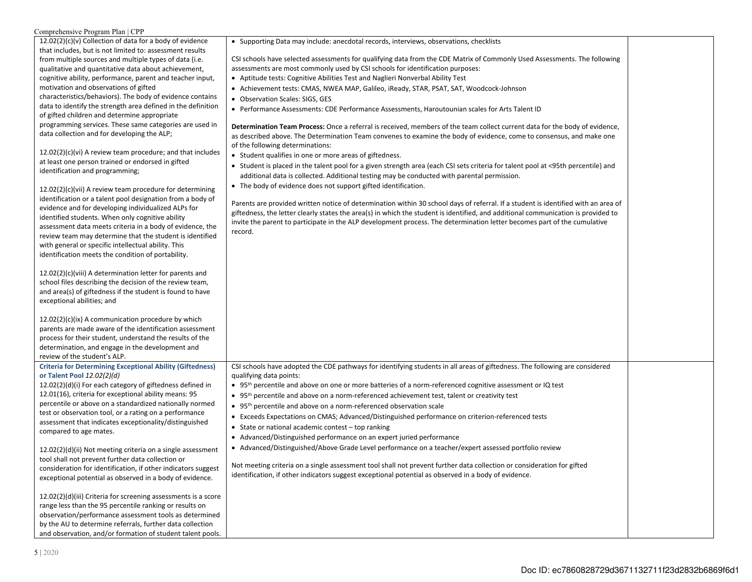### Comprehensive Program Plan | CPP

| 12.02(2)(c)(v) Collection of data for a body of evidence                                                          | • Supporting Data may include: anecdotal records, interviews, observations, checklists                                             |  |
|-------------------------------------------------------------------------------------------------------------------|------------------------------------------------------------------------------------------------------------------------------------|--|
| that includes, but is not limited to: assessment results                                                          |                                                                                                                                    |  |
| from multiple sources and multiple types of data (i.e.                                                            | CSI schools have selected assessments for qualifying data from the CDE Matrix of Commonly Used Assessments. The following          |  |
| qualitative and quantitative data about achievement,                                                              | assessments are most commonly used by CSI schools for identification purposes:                                                     |  |
| cognitive ability, performance, parent and teacher input,                                                         | • Aptitude tests: Cognitive Abilities Test and Naglieri Nonverbal Ability Test                                                     |  |
| motivation and observations of gifted                                                                             | • Achievement tests: CMAS, NWEA MAP, Galileo, iReady, STAR, PSAT, SAT, Woodcock-Johnson                                            |  |
| characteristics/behaviors). The body of evidence contains                                                         | • Observation Scales: SIGS, GES                                                                                                    |  |
| data to identify the strength area defined in the definition                                                      | • Performance Assessments: CDE Performance Assessments, Haroutounian scales for Arts Talent ID                                     |  |
| of gifted children and determine appropriate                                                                      |                                                                                                                                    |  |
| programming services. These same categories are used in                                                           | Determination Team Process: Once a referral is received, members of the team collect current data for the body of evidence,        |  |
| data collection and for developing the ALP;                                                                       | as described above. The Determination Team convenes to examine the body of evidence, come to consensus, and make one               |  |
|                                                                                                                   | of the following determinations:                                                                                                   |  |
| 12.02(2)(c)(vi) A review team procedure; and that includes                                                        | • Student qualifies in one or more areas of giftedness.                                                                            |  |
| at least one person trained or endorsed in gifted                                                                 | • Student is placed in the talent pool for a given strength area (each CSI sets criteria for talent pool at <95th percentile) and  |  |
| identification and programming;                                                                                   | additional data is collected. Additional testing may be conducted with parental permission.                                        |  |
| $12.02(2)(c)(vi)$ A review team procedure for determining                                                         | • The body of evidence does not support gifted identification.                                                                     |  |
| identification or a talent pool designation from a body of                                                        |                                                                                                                                    |  |
| evidence and for developing individualized ALPs for                                                               | Parents are provided written notice of determination within 30 school days of referral. If a student is identified with an area of |  |
| identified students. When only cognitive ability                                                                  | giftedness, the letter clearly states the area(s) in which the student is identified, and additional communication is provided to  |  |
| assessment data meets criteria in a body of evidence, the                                                         | invite the parent to participate in the ALP development process. The determination letter becomes part of the cumulative           |  |
| review team may determine that the student is identified                                                          | record.                                                                                                                            |  |
| with general or specific intellectual ability. This                                                               |                                                                                                                                    |  |
| identification meets the condition of portability.                                                                |                                                                                                                                    |  |
|                                                                                                                   |                                                                                                                                    |  |
| 12.02(2)(c)(viii) A determination letter for parents and                                                          |                                                                                                                                    |  |
| school files describing the decision of the review team,                                                          |                                                                                                                                    |  |
| and area(s) of giftedness if the student is found to have                                                         |                                                                                                                                    |  |
| exceptional abilities; and                                                                                        |                                                                                                                                    |  |
|                                                                                                                   |                                                                                                                                    |  |
| 12.02(2)(c)(ix) A communication procedure by which                                                                |                                                                                                                                    |  |
| parents are made aware of the identification assessment                                                           |                                                                                                                                    |  |
| process for their student, understand the results of the                                                          |                                                                                                                                    |  |
| determination, and engage in the development and                                                                  |                                                                                                                                    |  |
| review of the student's ALP.                                                                                      |                                                                                                                                    |  |
| <b>Criteria for Determining Exceptional Ability (Giftedness)</b>                                                  | CSI schools have adopted the CDE pathways for identifying students in all areas of giftedness. The following are considered        |  |
| or Talent Pool 12.02(2)(d)                                                                                        | qualifying data points:                                                                                                            |  |
| 12.02(2)(d)(i) For each category of giftedness defined in                                                         | • 95 <sup>th</sup> percentile and above on one or more batteries of a norm-referenced cognitive assessment or IQ test              |  |
| 12.01(16), criteria for exceptional ability means: 95                                                             | • 95 <sup>th</sup> percentile and above on a norm-referenced achievement test, talent or creativity test                           |  |
| percentile or above on a standardized nationally normed                                                           | • 95 <sup>th</sup> percentile and above on a norm-referenced observation scale                                                     |  |
| test or observation tool, or a rating on a performance                                                            | • Exceeds Expectations on CMAS; Advanced/Distinguished performance on criterion-referenced tests                                   |  |
| assessment that indicates exceptionality/distinguished                                                            | • State or national academic contest - top ranking                                                                                 |  |
| compared to age mates.                                                                                            | • Advanced/Distinguished performance on an expert juried performance                                                               |  |
|                                                                                                                   | • Advanced/Distinguished/Above Grade Level performance on a teacher/expert assessed portfolio review                               |  |
| $12.02(2)(d)(ii)$ Not meeting criteria on a single assessment                                                     |                                                                                                                                    |  |
| tool shall not prevent further data collection or                                                                 | Not meeting criteria on a single assessment tool shall not prevent further data collection or consideration for gifted             |  |
| consideration for identification, if other indicators suggest                                                     | identification, if other indicators suggest exceptional potential as observed in a body of evidence.                               |  |
| exceptional potential as observed in a body of evidence.                                                          |                                                                                                                                    |  |
|                                                                                                                   |                                                                                                                                    |  |
| 12.02(2)(d)(iii) Criteria for screening assessments is a score                                                    |                                                                                                                                    |  |
| range less than the 95 percentile ranking or results on<br>observation/performance assessment tools as determined |                                                                                                                                    |  |
| by the AU to determine referrals, further data collection                                                         |                                                                                                                                    |  |
| and observation, and/or formation of student talent pools.                                                        |                                                                                                                                    |  |
|                                                                                                                   |                                                                                                                                    |  |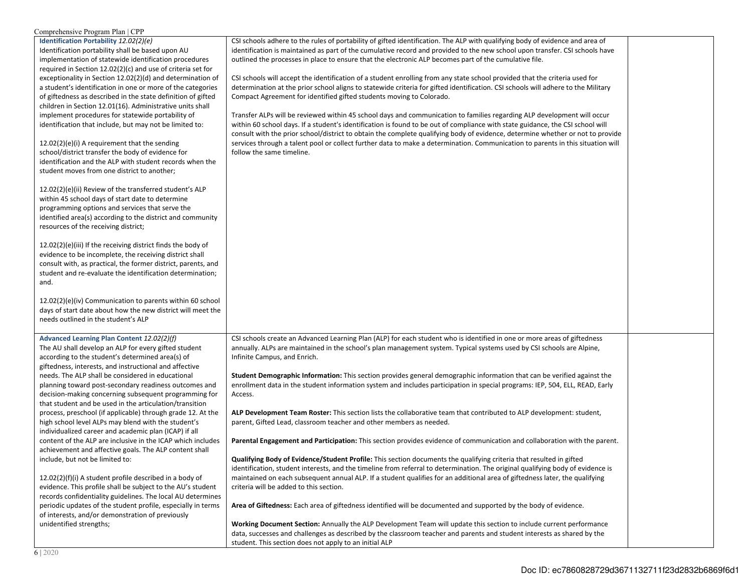| Comprehensive Program Plan   CPP                                                                                       |                                                                                                                                   |  |
|------------------------------------------------------------------------------------------------------------------------|-----------------------------------------------------------------------------------------------------------------------------------|--|
| Identification Portability 12.02(2)(e)                                                                                 | CSI schools adhere to the rules of portability of gifted identification. The ALP with qualifying body of evidence and area of     |  |
| Identification portability shall be based upon AU                                                                      | identification is maintained as part of the cumulative record and provided to the new school upon transfer. CSI schools have      |  |
| implementation of statewide identification procedures                                                                  | outlined the processes in place to ensure that the electronic ALP becomes part of the cumulative file.                            |  |
| required in Section $12.02(2)(c)$ and use of criteria set for                                                          |                                                                                                                                   |  |
| exceptionality in Section 12.02(2)(d) and determination of                                                             | CSI schools will accept the identification of a student enrolling from any state school provided that the criteria used for       |  |
| a student's identification in one or more of the categories                                                            | determination at the prior school aligns to statewide criteria for gifted identification. CSI schools will adhere to the Military |  |
| of giftedness as described in the state definition of gifted                                                           | Compact Agreement for identified gifted students moving to Colorado.                                                              |  |
| children in Section 12.01(16). Administrative units shall                                                              |                                                                                                                                   |  |
| implement procedures for statewide portability of                                                                      | Transfer ALPs will be reviewed within 45 school days and communication to families regarding ALP development will occur           |  |
| identification that include, but may not be limited to:                                                                | within 60 school days. If a student's identification is found to be out of compliance with state guidance, the CSI school will    |  |
|                                                                                                                        | consult with the prior school/district to obtain the complete qualifying body of evidence, determine whether or not to provide    |  |
| $12.02(2)(e)(i)$ A requirement that the sending                                                                        | services through a talent pool or collect further data to make a determination. Communication to parents in this situation will   |  |
| school/district transfer the body of evidence for                                                                      | follow the same timeline.                                                                                                         |  |
| identification and the ALP with student records when the                                                               |                                                                                                                                   |  |
| student moves from one district to another;                                                                            |                                                                                                                                   |  |
|                                                                                                                        |                                                                                                                                   |  |
| 12.02(2)(e)(ii) Review of the transferred student's ALP                                                                |                                                                                                                                   |  |
| within 45 school days of start date to determine                                                                       |                                                                                                                                   |  |
| programming options and services that serve the                                                                        |                                                                                                                                   |  |
| identified area(s) according to the district and community                                                             |                                                                                                                                   |  |
| resources of the receiving district;                                                                                   |                                                                                                                                   |  |
|                                                                                                                        |                                                                                                                                   |  |
| 12.02(2)(e)(iii) If the receiving district finds the body of                                                           |                                                                                                                                   |  |
| evidence to be incomplete, the receiving district shall                                                                |                                                                                                                                   |  |
| consult with, as practical, the former district, parents, and                                                          |                                                                                                                                   |  |
| student and re-evaluate the identification determination;                                                              |                                                                                                                                   |  |
| and.                                                                                                                   |                                                                                                                                   |  |
|                                                                                                                        |                                                                                                                                   |  |
| 12.02(2)(e)(iv) Communication to parents within 60 school                                                              |                                                                                                                                   |  |
| days of start date about how the new district will meet the                                                            |                                                                                                                                   |  |
| needs outlined in the student's ALP                                                                                    |                                                                                                                                   |  |
|                                                                                                                        |                                                                                                                                   |  |
| Advanced Learning Plan Content 12.02(2)(f)                                                                             | CSI schools create an Advanced Learning Plan (ALP) for each student who is identified in one or more areas of giftedness          |  |
| The AU shall develop an ALP for every gifted student                                                                   | annually. ALPs are maintained in the school's plan management system. Typical systems used by CSI schools are Alpine,             |  |
| according to the student's determined area(s) of                                                                       | Infinite Campus, and Enrich.                                                                                                      |  |
| giftedness, interests, and instructional and affective                                                                 |                                                                                                                                   |  |
| needs. The ALP shall be considered in educational                                                                      | Student Demographic Information: This section provides general demographic information that can be verified against the           |  |
| planning toward post-secondary readiness outcomes and                                                                  | enrollment data in the student information system and includes participation in special programs: IEP, 504, ELL, READ, Early      |  |
| decision-making concerning subsequent programming for                                                                  | Access.                                                                                                                           |  |
| that student and be used in the articulation/transition<br>process, preschool (if applicable) through grade 12. At the | ALP Development Team Roster: This section lists the collaborative team that contributed to ALP development: student,              |  |
| high school level ALPs may blend with the student's                                                                    | parent, Gifted Lead, classroom teacher and other members as needed.                                                               |  |
| individualized career and academic plan (ICAP) if all                                                                  |                                                                                                                                   |  |
| content of the ALP are inclusive in the ICAP which includes                                                            | Parental Engagement and Participation: This section provides evidence of communication and collaboration with the parent.         |  |
|                                                                                                                        |                                                                                                                                   |  |
| achievement and affective goals. The ALP content shall<br>include, but not be limited to:                              | Qualifying Body of Evidence/Student Profile: This section documents the qualifying criteria that resulted in gifted               |  |
|                                                                                                                        | identification, student interests, and the timeline from referral to determination. The original qualifying body of evidence is   |  |
| 12.02(2)(f)(i) A student profile described in a body of                                                                | maintained on each subsequent annual ALP. If a student qualifies for an additional area of giftedness later, the qualifying       |  |
| evidence. This profile shall be subject to the AU's student                                                            | criteria will be added to this section.                                                                                           |  |
| records confidentiality guidelines. The local AU determines                                                            |                                                                                                                                   |  |
| periodic updates of the student profile, especially in terms                                                           | Area of Giftedness: Each area of giftedness identified will be documented and supported by the body of evidence.                  |  |
| of interests, and/or demonstration of previously                                                                       |                                                                                                                                   |  |
| unidentified strengths;                                                                                                | Working Document Section: Annually the ALP Development Team will update this section to include current performance               |  |
|                                                                                                                        | data, successes and challenges as described by the classroom teacher and parents and student interests as shared by the           |  |
|                                                                                                                        | student. This section does not apply to an initial ALP                                                                            |  |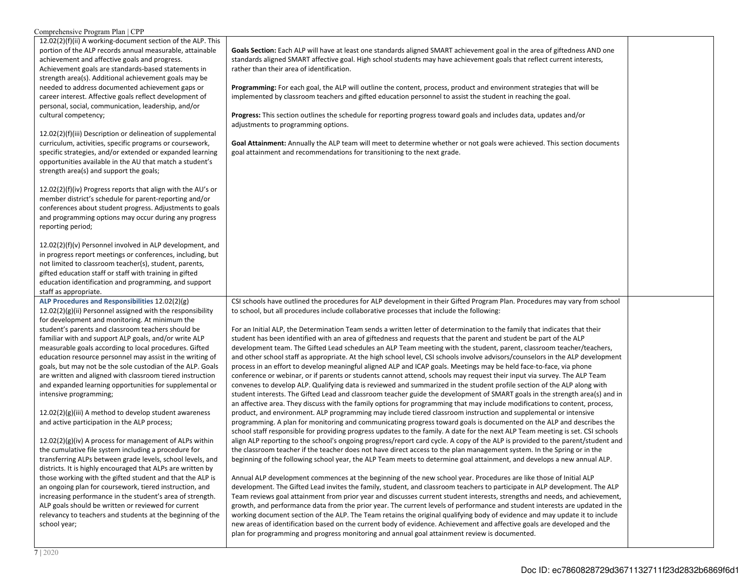| Comprehensive Program Plan   CPP                               |                                                                                                                                                                                                                           |  |
|----------------------------------------------------------------|---------------------------------------------------------------------------------------------------------------------------------------------------------------------------------------------------------------------------|--|
| 12.02(2)(f)(ii) A working-document section of the ALP. This    |                                                                                                                                                                                                                           |  |
| portion of the ALP records annual measurable, attainable       | Goals Section: Each ALP will have at least one standards aligned SMART achievement goal in the area of giftedness AND one                                                                                                 |  |
| achievement and affective goals and progress.                  | standards aligned SMART affective goal. High school students may have achievement goals that reflect current interests,                                                                                                   |  |
| Achievement goals are standards-based statements in            | rather than their area of identification.                                                                                                                                                                                 |  |
| strength area(s). Additional achievement goals may be          |                                                                                                                                                                                                                           |  |
| needed to address documented achievement gaps or               | Programming: For each goal, the ALP will outline the content, process, product and environment strategies that will be                                                                                                    |  |
| career interest. Affective goals reflect development of        | implemented by classroom teachers and gifted education personnel to assist the student in reaching the goal.                                                                                                              |  |
| personal, social, communication, leadership, and/or            |                                                                                                                                                                                                                           |  |
| cultural competency;                                           | <b>Progress:</b> This section outlines the schedule for reporting progress toward goals and includes data, updates and/or                                                                                                 |  |
|                                                                | adjustments to programming options.                                                                                                                                                                                       |  |
| 12.02(2)(f)(iii) Description or delineation of supplemental    |                                                                                                                                                                                                                           |  |
| curriculum, activities, specific programs or coursework,       | Goal Attainment: Annually the ALP team will meet to determine whether or not goals were achieved. This section documents                                                                                                  |  |
| specific strategies, and/or extended or expanded learning      | goal attainment and recommendations for transitioning to the next grade.                                                                                                                                                  |  |
| opportunities available in the AU that match a student's       |                                                                                                                                                                                                                           |  |
| strength area(s) and support the goals;                        |                                                                                                                                                                                                                           |  |
|                                                                |                                                                                                                                                                                                                           |  |
| $12.02(2)(f)(iv)$ Progress reports that align with the AU's or |                                                                                                                                                                                                                           |  |
| member district's schedule for parent-reporting and/or         |                                                                                                                                                                                                                           |  |
| conferences about student progress. Adjustments to goals       |                                                                                                                                                                                                                           |  |
| and programming options may occur during any progress          |                                                                                                                                                                                                                           |  |
| reporting period;                                              |                                                                                                                                                                                                                           |  |
|                                                                |                                                                                                                                                                                                                           |  |
| 12.02(2)(f)(v) Personnel involved in ALP development, and      |                                                                                                                                                                                                                           |  |
| in progress report meetings or conferences, including, but     |                                                                                                                                                                                                                           |  |
| not limited to classroom teacher(s), student, parents,         |                                                                                                                                                                                                                           |  |
| gifted education staff or staff with training in gifted        |                                                                                                                                                                                                                           |  |
| education identification and programming, and support          |                                                                                                                                                                                                                           |  |
|                                                                |                                                                                                                                                                                                                           |  |
| staff as appropriate.                                          |                                                                                                                                                                                                                           |  |
| ALP Procedures and Responsibilities 12.02(2)(g)                | CSI schools have outlined the procedures for ALP development in their Gifted Program Plan. Procedures may vary from school                                                                                                |  |
| 12.02(2)(g)(ii) Personnel assigned with the responsibility     | to school, but all procedures include collaborative processes that include the following:                                                                                                                                 |  |
| for development and monitoring. At minimum the                 |                                                                                                                                                                                                                           |  |
| student's parents and classroom teachers should be             | For an Initial ALP, the Determination Team sends a written letter of determination to the family that indicates that their                                                                                                |  |
| familiar with and support ALP goals, and/or write ALP          | student has been identified with an area of giftedness and requests that the parent and student be part of the ALP                                                                                                        |  |
| measurable goals according to local procedures. Gifted         | development team. The Gifted Lead schedules an ALP Team meeting with the student, parent, classroom teacher/teachers,                                                                                                     |  |
| education resource personnel may assist in the writing of      | and other school staff as appropriate. At the high school level, CSI schools involve advisors/counselors in the ALP development                                                                                           |  |
| goals, but may not be the sole custodian of the ALP. Goals     | process in an effort to develop meaningful aligned ALP and ICAP goals. Meetings may be held face-to-face, via phone                                                                                                       |  |
| are written and aligned with classroom tiered instruction      | conference or webinar, or if parents or students cannot attend, schools may request their input via survey. The ALP Team                                                                                                  |  |
| and expanded learning opportunities for supplemental or        | convenes to develop ALP. Qualifying data is reviewed and summarized in the student profile section of the ALP along with                                                                                                  |  |
| intensive programming;                                         | student interests. The Gifted Lead and classroom teacher guide the development of SMART goals in the strength area(s) and in                                                                                              |  |
|                                                                | an affective area. They discuss with the family options for programming that may include modifications to content, process,                                                                                               |  |
| $12.02(2)(g)(iii)$ A method to develop student awareness       | product, and environment. ALP programming may include tiered classroom instruction and supplemental or intensive                                                                                                          |  |
| and active participation in the ALP process;                   | programming. A plan for monitoring and communicating progress toward goals is documented on the ALP and describes the                                                                                                     |  |
|                                                                | school staff responsible for providing progress updates to the family. A date for the next ALP Team meeting is set. CSI schools                                                                                           |  |
| $12.02(2)(g)(iv)$ A process for management of ALPs within      | align ALP reporting to the school's ongoing progress/report card cycle. A copy of the ALP is provided to the parent/student and                                                                                           |  |
| the cumulative file system including a procedure for           | the classroom teacher if the teacher does not have direct access to the plan management system. In the Spring or in the                                                                                                   |  |
| transferring ALPs between grade levels, school levels, and     | beginning of the following school year, the ALP Team meets to determine goal attainment, and develops a new annual ALP.                                                                                                   |  |
| districts. It is highly encouraged that ALPs are written by    |                                                                                                                                                                                                                           |  |
| those working with the gifted student and that the ALP is      | Annual ALP development commences at the beginning of the new school year. Procedures are like those of Initial ALP                                                                                                        |  |
| an ongoing plan for coursework, tiered instruction, and        | development. The Gifted Lead invites the family, student, and classroom teachers to participate in ALP development. The ALP                                                                                               |  |
| increasing performance in the student's area of strength.      | Team reviews goal attainment from prior year and discusses current student interests, strengths and needs, and achievement,                                                                                               |  |
| ALP goals should be written or reviewed for current            | growth, and performance data from the prior year. The current levels of performance and student interests are updated in the                                                                                              |  |
| relevancy to teachers and students at the beginning of the     | working document section of the ALP. The Team retains the original qualifying body of evidence and may update it to include                                                                                               |  |
| school year;                                                   | new areas of identification based on the current body of evidence. Achievement and affective goals are developed and the<br>plan for programming and progress monitoring and annual goal attainment review is documented. |  |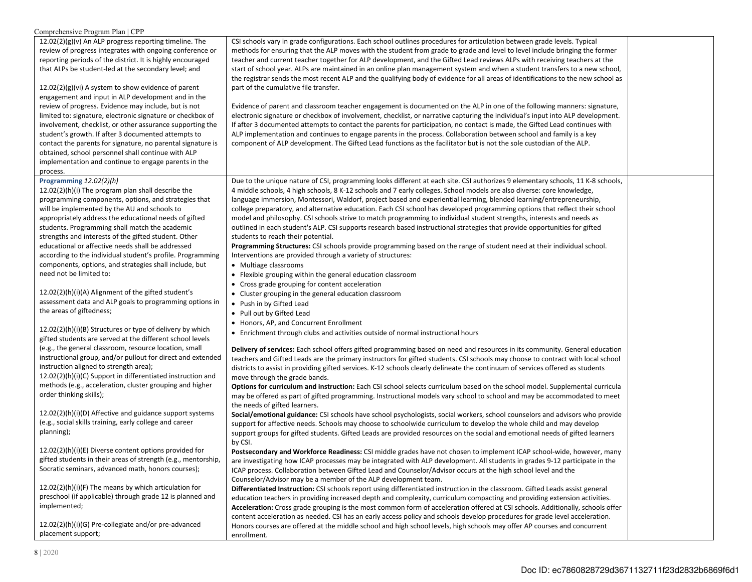| 12.02(2)(g)(v) An ALP progress reporting timeline. The<br>CSI schools vary in grade configurations. Each school outlines procedures for articulation between grade levels. Typical<br>review of progress integrates with ongoing conference or<br>methods for ensuring that the ALP moves with the student from grade to grade and level to level include bringing the former<br>reporting periods of the district. It is highly encouraged<br>teacher and current teacher together for ALP development, and the Gifted Lead reviews ALPs with receiving teachers at the<br>that ALPs be student-led at the secondary level; and<br>start of school year. ALPs are maintained in an online plan management system and when a student transfers to a new school,<br>the registrar sends the most recent ALP and the qualifying body of evidence for all areas of identifications to the new school as<br>$12.02(2)(g)(vi)$ A system to show evidence of parent<br>part of the cumulative file transfer.<br>engagement and input in ALP development and in the<br>review of progress. Evidence may include, but is not<br>Evidence of parent and classroom teacher engagement is documented on the ALP in one of the following manners: signature,<br>electronic signature or checkbox of involvement, checklist, or narrative capturing the individual's input into ALP development.<br>limited to: signature, electronic signature or checkbox of<br>involvement, checklist, or other assurance supporting the<br>If after 3 documented attempts to contact the parents for participation, no contact is made, the Gifted Lead continues with<br>ALP implementation and continues to engage parents in the process. Collaboration between school and family is a key<br>student's growth. If after 3 documented attempts to<br>component of ALP development. The Gifted Lead functions as the facilitator but is not the sole custodian of the ALP.<br>contact the parents for signature, no parental signature is<br>obtained, school personnel shall continue with ALP<br>implementation and continue to engage parents in the<br>process.<br>Programming 12.02(2)(h)<br>Due to the unique nature of CSI, programming looks different at each site. CSI authorizes 9 elementary schools, 11 K-8 schools,<br>4 middle schools, 4 high schools, 8 K-12 schools and 7 early colleges. School models are also diverse: core knowledge,<br>12.02(2)(h)(i) The program plan shall describe the<br>language immersion, Montessori, Waldorf, project based and experiential learning, blended learning/entrepreneurship,<br>programming components, options, and strategies that<br>college preparatory, and alternative education. Each CSI school has developed programming options that reflect their school<br>will be implemented by the AU and schools to<br>appropriately address the educational needs of gifted<br>model and philosophy. CSI schools strive to match programming to individual student strengths, interests and needs as<br>students. Programming shall match the academic<br>outlined in each student's ALP. CSI supports research based instructional strategies that provide opportunities for gifted<br>strengths and interests of the gifted student. Other<br>students to reach their potential.<br>educational or affective needs shall be addressed<br>Programming Structures: CSI schools provide programming based on the range of student need at their individual school.<br>according to the individual student's profile. Programming<br>Interventions are provided through a variety of structures:<br>components, options, and strategies shall include, but<br>• Multiage classrooms<br>need not be limited to:<br>• Flexible grouping within the general education classroom<br>• Cross grade grouping for content acceleration<br>12.02(2)(h)(i)(A) Alignment of the gifted student's<br>• Cluster grouping in the general education classroom<br>assessment data and ALP goals to programming options in<br>• Push in by Gifted Lead<br>the areas of giftedness;<br>• Pull out by Gifted Lead<br>• Honors, AP, and Concurrent Enrollment<br>12.02(2)(h)(i)(B) Structures or type of delivery by which<br>• Enrichment through clubs and activities outside of normal instructional hours<br>gifted students are served at the different school levels<br>(e.g., the general classroom, resource location, small<br>Delivery of services: Each school offers gifted programming based on need and resources in its community. General education<br>instructional group, and/or pullout for direct and extended<br>teachers and Gifted Leads are the primary instructors for gifted students. CSI schools may choose to contract with local school<br>instruction aligned to strength area);<br>districts to assist in providing gifted services. K-12 schools clearly delineate the continuum of services offered as students<br>12.02(2)(h)(i)(C) Support in differentiated instruction and<br>move through the grade bands.<br>methods (e.g., acceleration, cluster grouping and higher<br><b>Options for curriculum and instruction:</b> Each CSI school selects curriculum based on the school model. Supplemental curricula<br>order thinking skills);<br>may be offered as part of gifted programming. Instructional models vary school to school and may be accommodated to meet<br>the needs of gifted learners.<br>12.02(2)(h)(i)(D) Affective and guidance support systems<br>Social/emotional guidance: CSI schools have school psychologists, social workers, school counselors and advisors who provide<br>(e.g., social skills training, early college and career<br>support for affective needs. Schools may choose to schoolwide curriculum to develop the whole child and may develop<br>planning);<br>support groups for gifted students. Gifted Leads are provided resources on the social and emotional needs of gifted learners<br>by CSI.<br>$12.02(2)(h)(i)(E)$ Diverse content options provided for<br>Postsecondary and Workforce Readiness: CSI middle grades have not chosen to implement ICAP school-wide, however, many<br>gifted students in their areas of strength (e.g., mentorship,<br>are investigating how ICAP processes may be integrated with ALP development. All students in grades 9-12 participate in the<br>Socratic seminars, advanced math, honors courses);<br>ICAP process. Collaboration between Gifted Lead and Counselor/Advisor occurs at the high school level and the | Comprehensive Program Plan   CPP |                                                                |  |
|-------------------------------------------------------------------------------------------------------------------------------------------------------------------------------------------------------------------------------------------------------------------------------------------------------------------------------------------------------------------------------------------------------------------------------------------------------------------------------------------------------------------------------------------------------------------------------------------------------------------------------------------------------------------------------------------------------------------------------------------------------------------------------------------------------------------------------------------------------------------------------------------------------------------------------------------------------------------------------------------------------------------------------------------------------------------------------------------------------------------------------------------------------------------------------------------------------------------------------------------------------------------------------------------------------------------------------------------------------------------------------------------------------------------------------------------------------------------------------------------------------------------------------------------------------------------------------------------------------------------------------------------------------------------------------------------------------------------------------------------------------------------------------------------------------------------------------------------------------------------------------------------------------------------------------------------------------------------------------------------------------------------------------------------------------------------------------------------------------------------------------------------------------------------------------------------------------------------------------------------------------------------------------------------------------------------------------------------------------------------------------------------------------------------------------------------------------------------------------------------------------------------------------------------------------------------------------------------------------------------------------------------------------------------------------------------------------------------------------------------------------------------------------------------------------------------------------------------------------------------------------------------------------------------------------------------------------------------------------------------------------------------------------------------------------------------------------------------------------------------------------------------------------------------------------------------------------------------------------------------------------------------------------------------------------------------------------------------------------------------------------------------------------------------------------------------------------------------------------------------------------------------------------------------------------------------------------------------------------------------------------------------------------------------------------------------------------------------------------------------------------------------------------------------------------------------------------------------------------------------------------------------------------------------------------------------------------------------------------------------------------------------------------------------------------------------------------------------------------------------------------------------------------------------------------------------------------------------------------------------------------------------------------------------------------------------------------------------------------------------------------------------------------------------------------------------------------------------------------------------------------------------------------------------------------------------------------------------------------------------------------------------------------------------------------------------------------------------------------------------------------------------------------------------------------------------------------------------------------------------------------------------------------------------------------------------------------------------------------------------------------------------------------------------------------------------------------------------------------------------------------------------------------------------------------------------------------------------------------------------------------------------------------------------------------------------------------------------------------------------------------------------------------------------------------------------------------------------------------------------------------------------------------------------------------------------------------------------------------------------------------------------------------------------------------------------------------------------------------------------------------------------------------------------------------------------------------------------------------------------------------------------------------------------------------------------------------------------------------------------------------------------------------------------------------------------------------------------------------------------------------------------------------------------------------------------------------------------------------------------------------------------------------------------------------------------------------------------------------------------------------------------------------------------------------------------------------------------------------------------------------------------------------------------------------------------|----------------------------------|----------------------------------------------------------------|--|
|                                                                                                                                                                                                                                                                                                                                                                                                                                                                                                                                                                                                                                                                                                                                                                                                                                                                                                                                                                                                                                                                                                                                                                                                                                                                                                                                                                                                                                                                                                                                                                                                                                                                                                                                                                                                                                                                                                                                                                                                                                                                                                                                                                                                                                                                                                                                                                                                                                                                                                                                                                                                                                                                                                                                                                                                                                                                                                                                                                                                                                                                                                                                                                                                                                                                                                                                                                                                                                                                                                                                                                                                                                                                                                                                                                                                                                                                                                                                                                                                                                                                                                                                                                                                                                                                                                                                                                                                                                                                                                                                                                                                                                                                                                                                                                                                                                                                                                                                                                                                                                                                                                                                                                                                                                                                                                                                                                                                                                                                                                                                                                                                                                                                                                                                                                                                                                                                                                                                                                                                                                                                                                                                                                                                                                                                                                                                                                                                                                                                                                                                                                   |                                  |                                                                |  |
|                                                                                                                                                                                                                                                                                                                                                                                                                                                                                                                                                                                                                                                                                                                                                                                                                                                                                                                                                                                                                                                                                                                                                                                                                                                                                                                                                                                                                                                                                                                                                                                                                                                                                                                                                                                                                                                                                                                                                                                                                                                                                                                                                                                                                                                                                                                                                                                                                                                                                                                                                                                                                                                                                                                                                                                                                                                                                                                                                                                                                                                                                                                                                                                                                                                                                                                                                                                                                                                                                                                                                                                                                                                                                                                                                                                                                                                                                                                                                                                                                                                                                                                                                                                                                                                                                                                                                                                                                                                                                                                                                                                                                                                                                                                                                                                                                                                                                                                                                                                                                                                                                                                                                                                                                                                                                                                                                                                                                                                                                                                                                                                                                                                                                                                                                                                                                                                                                                                                                                                                                                                                                                                                                                                                                                                                                                                                                                                                                                                                                                                                                                   |                                  |                                                                |  |
|                                                                                                                                                                                                                                                                                                                                                                                                                                                                                                                                                                                                                                                                                                                                                                                                                                                                                                                                                                                                                                                                                                                                                                                                                                                                                                                                                                                                                                                                                                                                                                                                                                                                                                                                                                                                                                                                                                                                                                                                                                                                                                                                                                                                                                                                                                                                                                                                                                                                                                                                                                                                                                                                                                                                                                                                                                                                                                                                                                                                                                                                                                                                                                                                                                                                                                                                                                                                                                                                                                                                                                                                                                                                                                                                                                                                                                                                                                                                                                                                                                                                                                                                                                                                                                                                                                                                                                                                                                                                                                                                                                                                                                                                                                                                                                                                                                                                                                                                                                                                                                                                                                                                                                                                                                                                                                                                                                                                                                                                                                                                                                                                                                                                                                                                                                                                                                                                                                                                                                                                                                                                                                                                                                                                                                                                                                                                                                                                                                                                                                                                                                   |                                  |                                                                |  |
| 12.02(2)(h)(i)(F) The means by which articulation for<br>Differentiated Instruction: CSI schools report using differentiated instruction in the classroom. Gifted Leads assist general<br>preschool (if applicable) through grade 12 is planned and<br>education teachers in providing increased depth and complexity, curriculum compacting and providing extension activities.<br>implemented;<br>Acceleration: Cross grade grouping is the most common form of acceleration offered at CSI schools. Additionally, schools offer<br>content acceleration as needed. CSI has an early access policy and schools develop procedures for grade level acceleration.<br>12.02(2)(h)(i)(G) Pre-collegiate and/or pre-advanced<br>Honors courses are offered at the middle school and high school levels, high schools may offer AP courses and concurrent<br>placement support;<br>enrollment.<br>8 2020                                                                                                                                                                                                                                                                                                                                                                                                                                                                                                                                                                                                                                                                                                                                                                                                                                                                                                                                                                                                                                                                                                                                                                                                                                                                                                                                                                                                                                                                                                                                                                                                                                                                                                                                                                                                                                                                                                                                                                                                                                                                                                                                                                                                                                                                                                                                                                                                                                                                                                                                                                                                                                                                                                                                                                                                                                                                                                                                                                                                                                                                                                                                                                                                                                                                                                                                                                                                                                                                                                                                                                                                                                                                                                                                                                                                                                                                                                                                                                                                                                                                                                                                                                                                                                                                                                                                                                                                                                                                                                                                                                                                                                                                                                                                                                                                                                                                                                                                                                                                                                                                                                                                                                                                                                                                                                                                                                                                                                                                                                                                                                                                                                                              |                                  | Counselor/Advisor may be a member of the ALP development team. |  |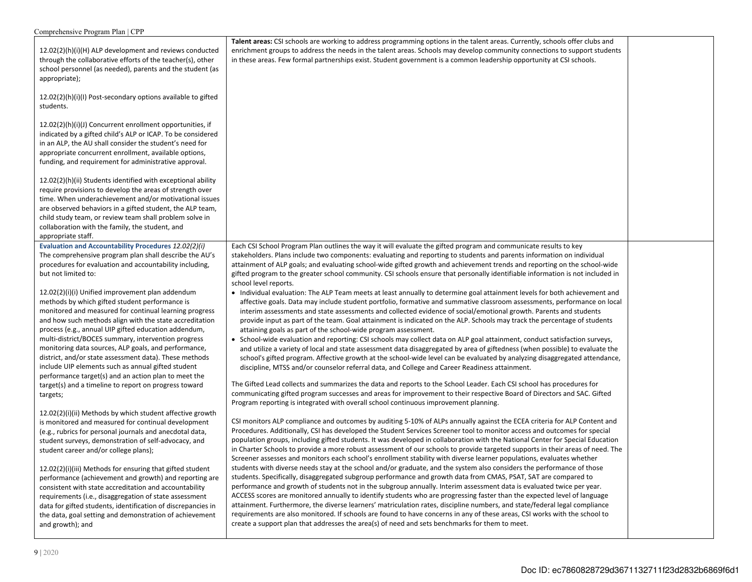| Talent areas: CSI schools are working to address programming options in the talent areas. Currently, schools offer clubs and<br>enrichment groups to address the needs in the talent areas. Schools may develop community connections to support students<br>in these areas. Few formal partnerships exist. Student government is a common leadership opportunity at CSI schools.                                                                                                                                                                                                                                                                                                                                                                                                                                                                                                                                                                                                                                                                                                                                                                                                                                                                                                                                                                                                                                                                                                                                   |                       |
|---------------------------------------------------------------------------------------------------------------------------------------------------------------------------------------------------------------------------------------------------------------------------------------------------------------------------------------------------------------------------------------------------------------------------------------------------------------------------------------------------------------------------------------------------------------------------------------------------------------------------------------------------------------------------------------------------------------------------------------------------------------------------------------------------------------------------------------------------------------------------------------------------------------------------------------------------------------------------------------------------------------------------------------------------------------------------------------------------------------------------------------------------------------------------------------------------------------------------------------------------------------------------------------------------------------------------------------------------------------------------------------------------------------------------------------------------------------------------------------------------------------------|-----------------------|
|                                                                                                                                                                                                                                                                                                                                                                                                                                                                                                                                                                                                                                                                                                                                                                                                                                                                                                                                                                                                                                                                                                                                                                                                                                                                                                                                                                                                                                                                                                                     |                       |
|                                                                                                                                                                                                                                                                                                                                                                                                                                                                                                                                                                                                                                                                                                                                                                                                                                                                                                                                                                                                                                                                                                                                                                                                                                                                                                                                                                                                                                                                                                                     |                       |
|                                                                                                                                                                                                                                                                                                                                                                                                                                                                                                                                                                                                                                                                                                                                                                                                                                                                                                                                                                                                                                                                                                                                                                                                                                                                                                                                                                                                                                                                                                                     |                       |
| Each CSI School Program Plan outlines the way it will evaluate the gifted program and communicate results to key<br>stakeholders. Plans include two components: evaluating and reporting to students and parents information on individual<br>attainment of ALP goals; and evaluating school-wide gifted growth and achievement trends and reporting on the school-wide<br>gifted program to the greater school community. CSI schools ensure that personally identifiable information is not included in                                                                                                                                                                                                                                                                                                                                                                                                                                                                                                                                                                                                                                                                                                                                                                                                                                                                                                                                                                                                           |                       |
| • Individual evaluation: The ALP Team meets at least annually to determine goal attainment levels for both achievement and<br>affective goals. Data may include student portfolio, formative and summative classroom assessments, performance on local<br>interim assessments and state assessments and collected evidence of social/emotional growth. Parents and students<br>provide input as part of the team. Goal attainment is indicated on the ALP. Schools may track the percentage of students<br>attaining goals as part of the school-wide program assessment.<br>• School-wide evaluation and reporting: CSI schools may collect data on ALP goal attainment, conduct satisfaction surveys,<br>and utilize a variety of local and state assessment data disaggregated by area of giftedness (when possible) to evaluate the<br>school's gifted program. Affective growth at the school-wide level can be evaluated by analyzing disaggregated attendance,<br>discipline, MTSS and/or counselor referral data, and College and Career Readiness attainment.<br>The Gifted Lead collects and summarizes the data and reports to the School Leader. Each CSI school has procedures for<br>communicating gifted program successes and areas for improvement to their respective Board of Directors and SAC. Gifted<br>Program reporting is integrated with overall school continuous improvement planning.                                                                                                  |                       |
| CSI monitors ALP compliance and outcomes by auditing 5-10% of ALPs annually against the ECEA criteria for ALP Content and<br>Procedures. Additionally, CSI has developed the Student Services Screener tool to monitor access and outcomes for special<br>population groups, including gifted students. It was developed in collaboration with the National Center for Special Education<br>in Charter Schools to provide a more robust assessment of our schools to provide targeted supports in their areas of need. The<br>Screener assesses and monitors each school's enrollment stability with diverse learner populations, evaluates whether<br>students with diverse needs stay at the school and/or graduate, and the system also considers the performance of those<br>students. Specifically, disaggregated subgroup performance and growth data from CMAS, PSAT, SAT are compared to<br>performance and growth of students not in the subgroup annually. Interim assessment data is evaluated twice per year.<br>ACCESS scores are monitored annually to identify students who are progressing faster than the expected level of language<br>attainment. Furthermore, the diverse learners' matriculation rates, discipline numbers, and state/federal legal compliance<br>requirements are also monitored. If schools are found to have concerns in any of these areas, CSI works with the school to<br>create a support plan that addresses the area(s) of need and sets benchmarks for them to meet. |                       |
|                                                                                                                                                                                                                                                                                                                                                                                                                                                                                                                                                                                                                                                                                                                                                                                                                                                                                                                                                                                                                                                                                                                                                                                                                                                                                                                                                                                                                                                                                                                     | school level reports. |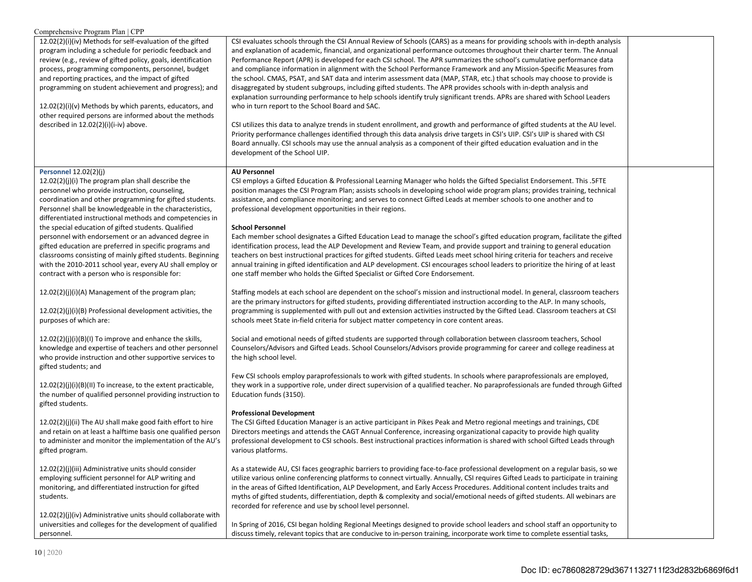| Comprehensive Program Plan   CPP                                                                                                                                                                                                                                                                                                                                                                                                                                                                                     |                                                                                                                                                                                                                                                                                                                                                                                                                                                                                                                                                                                                                                                                                                                                                                                                                                                                                                                                                                                                                                                                                                                                                                                                                                                                                                                                                                                 |  |
|----------------------------------------------------------------------------------------------------------------------------------------------------------------------------------------------------------------------------------------------------------------------------------------------------------------------------------------------------------------------------------------------------------------------------------------------------------------------------------------------------------------------|---------------------------------------------------------------------------------------------------------------------------------------------------------------------------------------------------------------------------------------------------------------------------------------------------------------------------------------------------------------------------------------------------------------------------------------------------------------------------------------------------------------------------------------------------------------------------------------------------------------------------------------------------------------------------------------------------------------------------------------------------------------------------------------------------------------------------------------------------------------------------------------------------------------------------------------------------------------------------------------------------------------------------------------------------------------------------------------------------------------------------------------------------------------------------------------------------------------------------------------------------------------------------------------------------------------------------------------------------------------------------------|--|
| 12.02(2)(i)(iv) Methods for self-evaluation of the gifted<br>program including a schedule for periodic feedback and<br>review (e.g., review of gifted policy, goals, identification<br>process, programming components, personnel, budget<br>and reporting practices, and the impact of gifted<br>programming on student achievement and progress); and<br>12.02(2)(i)(v) Methods by which parents, educators, and<br>other required persons are informed about the methods<br>described in 12.02(2)(i)(i-iv) above. | CSI evaluates schools through the CSI Annual Review of Schools (CARS) as a means for providing schools with in-depth analysis<br>and explanation of academic, financial, and organizational performance outcomes throughout their charter term. The Annual<br>Performance Report (APR) is developed for each CSI school. The APR summarizes the school's cumulative performance data<br>and compliance information in alignment with the School Performance Framework and any Mission-Specific Measures from<br>the school. CMAS, PSAT, and SAT data and interim assessment data (MAP, STAR, etc.) that schools may choose to provide is<br>disaggregated by student subgroups, including gifted students. The APR provides schools with in-depth analysis and<br>explanation surrounding performance to help schools identify truly significant trends. APRs are shared with School Leaders<br>who in turn report to the School Board and SAC.<br>CSI utilizes this data to analyze trends in student enrollment, and growth and performance of gifted students at the AU level.<br>Priority performance challenges identified through this data analysis drive targets in CSI's UIP. CSI's UIP is shared with CSI<br>Board annually. CSI schools may use the annual analysis as a component of their gifted education evaluation and in the<br>development of the School UIP. |  |
| Personnel 12.02(2)(j)<br>12.02(2)(j)(i) The program plan shall describe the<br>personnel who provide instruction, counseling,<br>coordination and other programming for gifted students.<br>Personnel shall be knowledgeable in the characteristics,<br>differentiated instructional methods and competencies in                                                                                                                                                                                                     | <b>AU Personnel</b><br>CSI employs a Gifted Education & Professional Learning Manager who holds the Gifted Specialist Endorsement. This .5FTE<br>position manages the CSI Program Plan; assists schools in developing school wide program plans; provides training, technical<br>assistance, and compliance monitoring; and serves to connect Gifted Leads at member schools to one another and to<br>professional development opportunities in their regions.                                                                                                                                                                                                                                                                                                                                                                                                                                                                                                                                                                                                                                                                                                                                                                                                                                                                                                                  |  |
| the special education of gifted students. Qualified<br>personnel with endorsement or an advanced degree in<br>gifted education are preferred in specific programs and<br>classrooms consisting of mainly gifted students. Beginning<br>with the 2010-2011 school year, every AU shall employ or<br>contract with a person who is responsible for:                                                                                                                                                                    | <b>School Personnel</b><br>Each member school designates a Gifted Education Lead to manage the school's gifted education program, facilitate the gifted<br>identification process, lead the ALP Development and Review Team, and provide support and training to general education<br>teachers on best instructional practices for gifted students. Gifted Leads meet school hiring criteria for teachers and receive<br>annual training in gifted identification and ALP development. CSI encourages school leaders to prioritize the hiring of at least<br>one staff member who holds the Gifted Specialist or Gifted Core Endorsement.                                                                                                                                                                                                                                                                                                                                                                                                                                                                                                                                                                                                                                                                                                                                       |  |
| $12.02(2)(j)(i)(A)$ Management of the program plan;<br>$12.02(2)(j)(i)(B)$ Professional development activities, the<br>purposes of which are:                                                                                                                                                                                                                                                                                                                                                                        | Staffing models at each school are dependent on the school's mission and instructional model. In general, classroom teachers<br>are the primary instructors for gifted students, providing differentiated instruction according to the ALP. In many schools,<br>programming is supplemented with pull out and extension activities instructed by the Gifted Lead. Classroom teachers at CSI<br>schools meet State in-field criteria for subject matter competency in core content areas.                                                                                                                                                                                                                                                                                                                                                                                                                                                                                                                                                                                                                                                                                                                                                                                                                                                                                        |  |
| 12.02(2)(j)(i)(B)(I) To improve and enhance the skills,<br>knowledge and expertise of teachers and other personnel<br>who provide instruction and other supportive services to<br>gifted students; and                                                                                                                                                                                                                                                                                                               | Social and emotional needs of gifted students are supported through collaboration between classroom teachers, School<br>Counselors/Advisors and Gifted Leads. School Counselors/Advisors provide programming for career and college readiness at<br>the high school level.                                                                                                                                                                                                                                                                                                                                                                                                                                                                                                                                                                                                                                                                                                                                                                                                                                                                                                                                                                                                                                                                                                      |  |
| $12.02(2)(j)(i)(B)(II)$ To increase, to the extent practicable,<br>the number of qualified personnel providing instruction to<br>gifted students.                                                                                                                                                                                                                                                                                                                                                                    | Few CSI schools employ paraprofessionals to work with gifted students. In schools where paraprofessionals are employed,<br>they work in a supportive role, under direct supervision of a qualified teacher. No paraprofessionals are funded through Gifted<br>Education funds (3150).                                                                                                                                                                                                                                                                                                                                                                                                                                                                                                                                                                                                                                                                                                                                                                                                                                                                                                                                                                                                                                                                                           |  |
| 12.02(2)(j)(ii) The AU shall make good faith effort to hire<br>and retain on at least a halftime basis one qualified person<br>to administer and monitor the implementation of the AU's<br>gifted program.                                                                                                                                                                                                                                                                                                           | <b>Professional Development</b><br>The CSI Gifted Education Manager is an active participant in Pikes Peak and Metro regional meetings and trainings, CDE<br>Directors meetings and attends the CAGT Annual Conference, increasing organizational capacity to provide high quality<br>professional development to CSI schools. Best instructional practices information is shared with school Gifted Leads through<br>various platforms.                                                                                                                                                                                                                                                                                                                                                                                                                                                                                                                                                                                                                                                                                                                                                                                                                                                                                                                                        |  |
| 12.02(2)(i)(iii) Administrative units should consider<br>employing sufficient personnel for ALP writing and<br>monitoring, and differentiated instruction for gifted<br>students.                                                                                                                                                                                                                                                                                                                                    | As a statewide AU, CSI faces geographic barriers to providing face-to-face professional development on a regular basis, so we<br>utilize various online conferencing platforms to connect virtually. Annually, CSI requires Gifted Leads to participate in training<br>in the areas of Gifted Identification, ALP Development, and Early Access Procedures. Additional content includes traits and<br>myths of gifted students, differentiation, depth & complexity and social/emotional needs of gifted students. All webinars are<br>recorded for reference and use by school level personnel.                                                                                                                                                                                                                                                                                                                                                                                                                                                                                                                                                                                                                                                                                                                                                                                |  |
| 12.02(2)(j)(iv) Administrative units should collaborate with<br>universities and colleges for the development of qualified<br>personnel.                                                                                                                                                                                                                                                                                                                                                                             | In Spring of 2016, CSI began holding Regional Meetings designed to provide school leaders and school staff an opportunity to<br>discuss timely, relevant topics that are conducive to in-person training, incorporate work time to complete essential tasks,                                                                                                                                                                                                                                                                                                                                                                                                                                                                                                                                                                                                                                                                                                                                                                                                                                                                                                                                                                                                                                                                                                                    |  |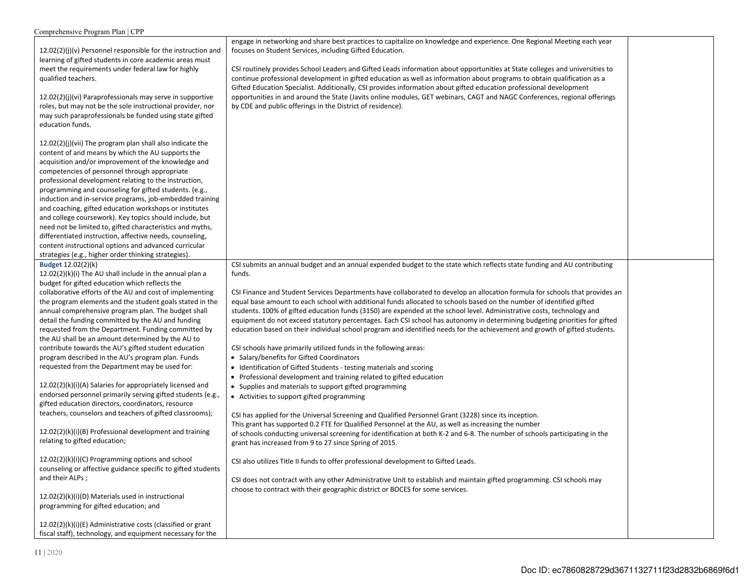| Comprehensive Program Plan   CPP                             |                                                                                                                              |  |
|--------------------------------------------------------------|------------------------------------------------------------------------------------------------------------------------------|--|
|                                                              | engage in networking and share best practices to capitalize on knowledge and experience. One Regional Meeting each year      |  |
| 12.02(2)(j)(v) Personnel responsible for the instruction and | focuses on Student Services, including Gifted Education.                                                                     |  |
| learning of gifted students in core academic areas must      |                                                                                                                              |  |
| meet the requirements under federal law for highly           | CSI routinely provides School Leaders and Gifted Leads information about opportunities at State colleges and universities to |  |
| qualified teachers.                                          | continue professional development in gifted education as well as information about programs to obtain qualification as a     |  |
|                                                              | Gifted Education Specialist. Additionally, CSI provides information about gifted education professional development          |  |
| 12.02(2)(i)(vi) Paraprofessionals may serve in supportive    | opportunities in and around the State (Javits online modules, GET webinars, CAGT and NAGC Conferences, regional offerings    |  |
| roles, but may not be the sole instructional provider, nor   | by CDE and public offerings in the District of residence).                                                                   |  |
| may such paraprofessionals be funded using state gifted      |                                                                                                                              |  |
| education funds.                                             |                                                                                                                              |  |
|                                                              |                                                                                                                              |  |
| 12.02(2)(j)(vii) The program plan shall also indicate the    |                                                                                                                              |  |
| content of and means by which the AU supports the            |                                                                                                                              |  |
| acquisition and/or improvement of the knowledge and          |                                                                                                                              |  |
| competencies of personnel through appropriate                |                                                                                                                              |  |
| professional development relating to the instruction,        |                                                                                                                              |  |
| programming and counseling for gifted students. (e.g.,       |                                                                                                                              |  |
| induction and in-service programs, job-embedded training     |                                                                                                                              |  |
| and coaching, gifted education workshops or institutes       |                                                                                                                              |  |
| and college coursework). Key topics should include, but      |                                                                                                                              |  |
| need not be limited to, gifted characteristics and myths,    |                                                                                                                              |  |
| differentiated instruction, affective needs, counseling,     |                                                                                                                              |  |
| content instructional options and advanced curricular        |                                                                                                                              |  |
| strategies (e.g., higher order thinking strategies).         |                                                                                                                              |  |
| Budget 12.02(2)(k)                                           | CSI submits an annual budget and an annual expended budget to the state which reflects state funding and AU contributing     |  |
| $12.02(2)(k)(i)$ The AU shall include in the annual plan a   | funds.                                                                                                                       |  |
| budget for gifted education which reflects the               |                                                                                                                              |  |
| collaborative efforts of the AU and cost of implementing     | CSI Finance and Student Services Departments have collaborated to develop an allocation formula for schools that provides an |  |
| the program elements and the student goals stated in the     | equal base amount to each school with additional funds allocated to schools based on the number of identified gifted         |  |
| annual comprehensive program plan. The budget shall          | students. 100% of gifted education funds (3150) are expended at the school level. Administrative costs, technology and       |  |
| detail the funding committed by the AU and funding           | equipment do not exceed statutory percentages. Each CSI school has autonomy in determining budgeting priorities for gifted   |  |
| requested from the Department. Funding committed by          | education based on their individual school program and identified needs for the achievement and growth of gifted students.   |  |
| the AU shall be an amount determined by the AU to            |                                                                                                                              |  |
| contribute towards the AU's gifted student education         | CSI schools have primarily utilized funds in the following areas:                                                            |  |
| program described in the AU's program plan. Funds            | • Salary/benefits for Gifted Coordinators                                                                                    |  |
| requested from the Department may be used for:               | • Identification of Gifted Students - testing materials and scoring                                                          |  |
|                                                              | • Professional development and training related to gifted education                                                          |  |
| 12.02(2)(k)(i)(A) Salaries for appropriately licensed and    | • Supplies and materials to support gifted programming                                                                       |  |
| endorsed personnel primarily serving gifted students (e.g.,  | • Activities to support gifted programming                                                                                   |  |
| gifted education directors, coordinators, resource           |                                                                                                                              |  |
| teachers, counselors and teachers of gifted classrooms);     | CSI has applied for the Universal Screening and Qualified Personnel Grant (3228) since its inception.                        |  |
|                                                              | This grant has supported 0.2 FTE for Qualified Personnel at the AU, as well as increasing the number                         |  |
| 12.02(2)(k)(i)(B) Professional development and training      | of schools conducting universal screening for identification at both K-2 and 6-8. The number of schools participating in the |  |
| relating to gifted education;                                | grant has increased from 9 to 27 since Spring of 2015.                                                                       |  |
|                                                              |                                                                                                                              |  |
| 12.02(2)(k)(i)(C) Programming options and school             | CSI also utilizes Title II funds to offer professional development to Gifted Leads.                                          |  |
| counseling or affective guidance specific to gifted students |                                                                                                                              |  |
| and their ALPs;                                              | CSI does not contract with any other Administrative Unit to establish and maintain gifted programming. CSI schools may       |  |
|                                                              | choose to contract with their geographic district or BOCES for some services.                                                |  |
| 12.02(2)(k)(i)(D) Materials used in instructional            |                                                                                                                              |  |
| programming for gifted education; and                        |                                                                                                                              |  |
| 12.02(2)(k)(i)(E) Administrative costs (classified or grant  |                                                                                                                              |  |
| fiscal staff), technology, and equipment necessary for the   |                                                                                                                              |  |
|                                                              |                                                                                                                              |  |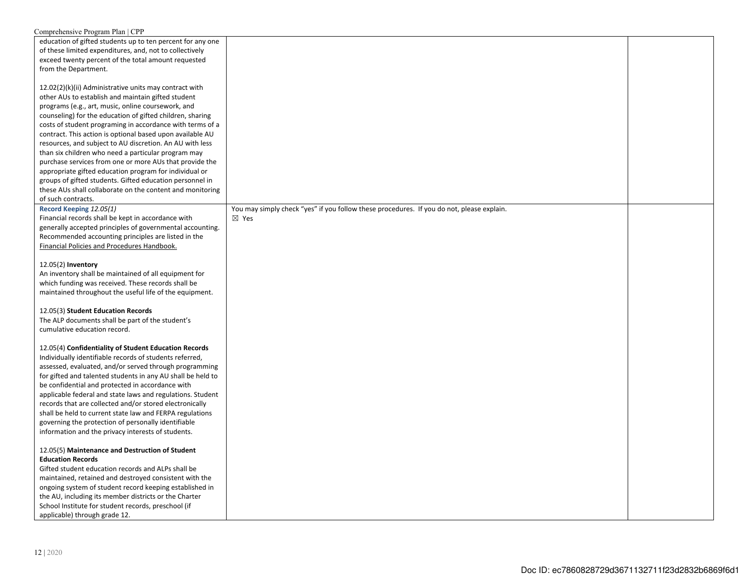| Comprehensive Program Plan   CPP                            |                                                                                           |  |
|-------------------------------------------------------------|-------------------------------------------------------------------------------------------|--|
| education of gifted students up to ten percent for any one  |                                                                                           |  |
| of these limited expenditures, and, not to collectively     |                                                                                           |  |
| exceed twenty percent of the total amount requested         |                                                                                           |  |
| from the Department.                                        |                                                                                           |  |
|                                                             |                                                                                           |  |
| 12.02(2)(k)(ii) Administrative units may contract with      |                                                                                           |  |
| other AUs to establish and maintain gifted student          |                                                                                           |  |
| programs (e.g., art, music, online coursework, and          |                                                                                           |  |
| counseling) for the education of gifted children, sharing   |                                                                                           |  |
| costs of student programing in accordance with terms of a   |                                                                                           |  |
| contract. This action is optional based upon available AU   |                                                                                           |  |
| resources, and subject to AU discretion. An AU with less    |                                                                                           |  |
| than six children who need a particular program may         |                                                                                           |  |
| purchase services from one or more AUs that provide the     |                                                                                           |  |
| appropriate gifted education program for individual or      |                                                                                           |  |
| groups of gifted students. Gifted education personnel in    |                                                                                           |  |
| these AUs shall collaborate on the content and monitoring   |                                                                                           |  |
| of such contracts.                                          |                                                                                           |  |
|                                                             |                                                                                           |  |
| Record Keeping 12.05(1)                                     | You may simply check "yes" if you follow these procedures. If you do not, please explain. |  |
| Financial records shall be kept in accordance with          | $\boxtimes$ Yes                                                                           |  |
| generally accepted principles of governmental accounting.   |                                                                                           |  |
| Recommended accounting principles are listed in the         |                                                                                           |  |
| Financial Policies and Procedures Handbook.                 |                                                                                           |  |
|                                                             |                                                                                           |  |
| 12.05(2) Inventory                                          |                                                                                           |  |
| An inventory shall be maintained of all equipment for       |                                                                                           |  |
| which funding was received. These records shall be          |                                                                                           |  |
| maintained throughout the useful life of the equipment.     |                                                                                           |  |
|                                                             |                                                                                           |  |
| 12.05(3) Student Education Records                          |                                                                                           |  |
| The ALP documents shall be part of the student's            |                                                                                           |  |
| cumulative education record.                                |                                                                                           |  |
|                                                             |                                                                                           |  |
| 12.05(4) Confidentiality of Student Education Records       |                                                                                           |  |
| Individually identifiable records of students referred,     |                                                                                           |  |
| assessed, evaluated, and/or served through programming      |                                                                                           |  |
| for gifted and talented students in any AU shall be held to |                                                                                           |  |
| be confidential and protected in accordance with            |                                                                                           |  |
| applicable federal and state laws and regulations. Student  |                                                                                           |  |
| records that are collected and/or stored electronically     |                                                                                           |  |
| shall be held to current state law and FERPA regulations    |                                                                                           |  |
| governing the protection of personally identifiable         |                                                                                           |  |
| information and the privacy interests of students.          |                                                                                           |  |
|                                                             |                                                                                           |  |
| 12.05(5) Maintenance and Destruction of Student             |                                                                                           |  |
| <b>Education Records</b>                                    |                                                                                           |  |
| Gifted student education records and ALPs shall be          |                                                                                           |  |
| maintained, retained and destroyed consistent with the      |                                                                                           |  |
| ongoing system of student record keeping established in     |                                                                                           |  |
| the AU, including its member districts or the Charter       |                                                                                           |  |
| School Institute for student records, preschool (if         |                                                                                           |  |
| applicable) through grade 12.                               |                                                                                           |  |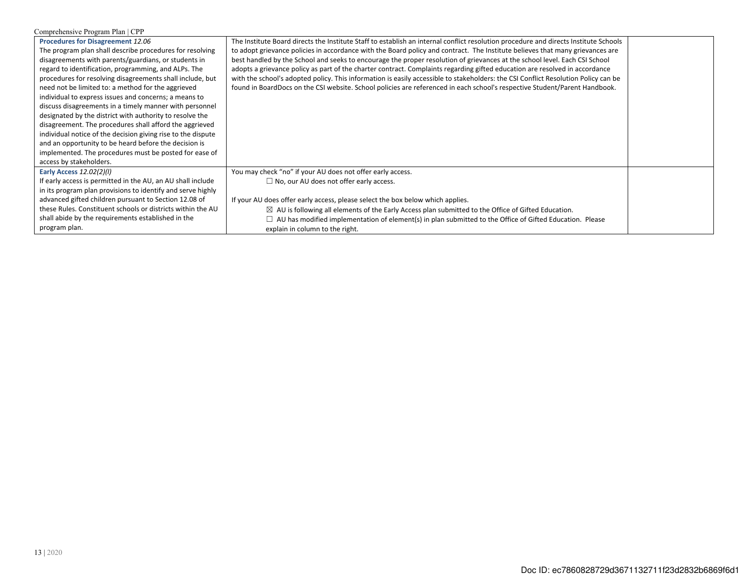| Comprehensive Program Plan   CPP                             |                                                                                                                                      |  |  |
|--------------------------------------------------------------|--------------------------------------------------------------------------------------------------------------------------------------|--|--|
| Procedures for Disagreement 12.06                            | The Institute Board directs the Institute Staff to establish an internal conflict resolution procedure and directs Institute Schools |  |  |
| The program plan shall describe procedures for resolving     | to adopt grievance policies in accordance with the Board policy and contract. The Institute believes that many grievances are        |  |  |
| disagreements with parents/guardians, or students in         | best handled by the School and seeks to encourage the proper resolution of grievances at the school level. Each CSI School           |  |  |
| regard to identification, programming, and ALPs. The         | adopts a grievance policy as part of the charter contract. Complaints regarding gifted education are resolved in accordance          |  |  |
| procedures for resolving disagreements shall include, but    | with the school's adopted policy. This information is easily accessible to stakeholders: the CSI Conflict Resolution Policy can be   |  |  |
| need not be limited to: a method for the aggrieved           | found in BoardDocs on the CSI website. School policies are referenced in each school's respective Student/Parent Handbook.           |  |  |
| individual to express issues and concerns; a means to        |                                                                                                                                      |  |  |
| discuss disagreements in a timely manner with personnel      |                                                                                                                                      |  |  |
| designated by the district with authority to resolve the     |                                                                                                                                      |  |  |
| disagreement. The procedures shall afford the aggrieved      |                                                                                                                                      |  |  |
| individual notice of the decision giving rise to the dispute |                                                                                                                                      |  |  |
| and an opportunity to be heard before the decision is        |                                                                                                                                      |  |  |
| implemented. The procedures must be posted for ease of       |                                                                                                                                      |  |  |
| access by stakeholders.                                      |                                                                                                                                      |  |  |
| Early Access 12.02(2)(I)                                     | You may check "no" if your AU does not offer early access.                                                                           |  |  |
| If early access is permitted in the AU, an AU shall include  | $\Box$ No, our AU does not offer early access.                                                                                       |  |  |
| in its program plan provisions to identify and serve highly  |                                                                                                                                      |  |  |
| advanced gifted children pursuant to Section 12.08 of        | If your AU does offer early access, please select the box below which applies.                                                       |  |  |
| these Rules. Constituent schools or districts within the AU  | $\boxtimes$ AU is following all elements of the Early Access plan submitted to the Office of Gifted Education.                       |  |  |
| shall abide by the requirements established in the           | AU has modified implementation of element(s) in plan submitted to the Office of Gifted Education. Please                             |  |  |
| program plan.                                                | explain in column to the right.                                                                                                      |  |  |